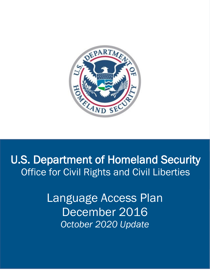

# U.S. Department of Homeland Security Office for Civil Rights and Civil Liberties

Language Access Plan December 2016 *October 2020 Update*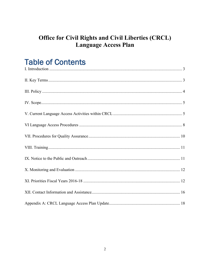### **Office for Civil Rights and Civil Liberties (CRCL)** Language Access Plan

## **Table of Contents**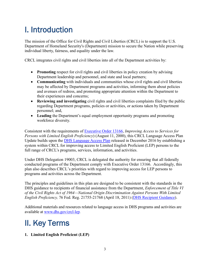## <span id="page-2-0"></span>I. Introduction

The mission of the Office for Civil Rights and Civil Liberties (CRCL) is to support the U.S. Department of Homeland Security's (Department) mission to secure the Nation while preserving individual liberty, fairness, and equality under the law.

CRCL integrates civil rights and civil liberties into all of the Department activities by:

- **Promoting** respect for civil rights and civil liberties in policy creation by advising Department leadership and personnel, and state and local partners;
- **Communicating** with individuals and communities whose civil rights and civil liberties may be affected by Department programs and activities, informing them about policies and avenues of redress, and promoting appropriate attention within the Department to their experiences and concerns;
- **Reviewing and investigating** civil rights and civil liberties complaints filed by the public regarding Department programs, policies or activities, or actions taken by Department personnel; and,
- **Leading** the Department's equal employment opportunity programs and promoting workforce diversity.

Consistent with the requirements of [Executive Order 13166,](http://www.justice.gov/crt/about/cor/Pubs/eolep.php) *Improving Access to Services for Persons with Limited English Proficiency*) (August 11, 2000), this CRCL Language Access Plan Update builds upon the [DHS Language Access Plan](http://www.lep.gov/guidance/040312_crcl-dhs-language-access-plan.pdf) released in December 2016 by establishing a system within CRCL for improving access to Limited English Proficient (LEP) persons to the full range of CRCL's programs, services, information, and activities.

Under DHS Delegation 19003, CRCL is delegated the authority for ensuring that all federally conducted programs of the Department comply with Executive Order 13166. Accordingly, this plan also describes CRCL's priorities with regard to improving access for LEP persons to programs and activities across the Department.

The principles and guidelines in this plan are designed to be consistent with the standards in the DHS guidance to recipients of financial assistance from the Department, *Enforcement of Title VI of the Civil Rights Act of 1964—National Origin Discrimination Against Persons With Limited English Proficiency, 76 Fed. Reg. 21755-21768 (April 18, 2011) [\(DHS Recipient Guidance\)](http://www.dhs.gov/sites/default/files/publications/crcl_lep_guidance_0.pdf).* 

Additional materials and resources related to language access in DHS programs and activities are available at [www.dhs.gov/crcl-lep.](http://www.dhs.gov/crcl-lep)

## <span id="page-2-1"></span>II. Key Terms

**1. Limited English Proficient (LEP)**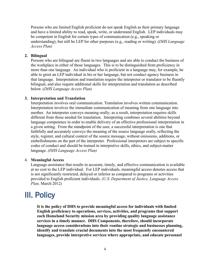Persons who are limited English proficient do not speak English as their primary language and have a limited ability to read, speak, write, or understand English. LEP individuals may be competent in English for certain types of communication (e.g., speaking or understanding), but still be LEP for other purposes (e.g., reading or writing). (*DHS Language Access Plan)*

### **2. Bilingual**

Persons who are bilingual are fluent in two languages and are able to conduct the business of the workplace in either of those languages. This is to be distinguished from proficiency in more than one language. An individual who is proficient in a language may, for example, be able to greet an LEP individual in his or her language, but not conduct agency business in that language. Interpretation and translation require the interpreter or translator to be fluently bilingual, and also require additional skills for interpretation and translation as described below. (*DHS Language Access Plan)* 

### **3. Interpretation and Translation**

Interpretation involves oral communication. Translation involves written communication. Interpretation involves the immediate communication of meaning from one language into another. An interpreter conveys meaning orally; as a result, interpretation requires skills different from those needed for translation. Interpreting combines several abilities beyond language competence in order to enable delivery of an effective professional interpretation in a given setting. From the standpoint of the user, a successful interpretation is one that faithfully and accurately conveys the meaning of the source language orally, reflecting the style, register, and cultural context of the source message, without omissions, additions, or embellishments on the part of the interpreter. Professional interpreters are subject to specific codes of conduct and should be trained in interpretive skills, ethics, and subject-matter language. *(DHS Language Access Plan)* 

#### 4. **Meaningful Access**

Language assistance that results in accurate, timely, and effective communication is available at no cost to the LEP individual. For LEP individuals, meaningful access denotes access that is not significantly restricted, delayed or inferior as compared to programs or activities provided to English proficient individuals. *(U.S. Department of Justice, Language Access Plan,* March 2012*)*

### <span id="page-3-0"></span>III. Policy

**It is the policy of DHS to provide meaningful access for individuals with limited English proficiency to operations, services, activities, and programs that support each Homeland Security mission area by providing quality language assistance services in a timely manner. DHS Components, therefore, should incorporate language access considerations into their routine strategic and businesses planning, identify and translate crucial documents into the most frequently encountered languages, provide interpretive services where appropriate, and educate personnel**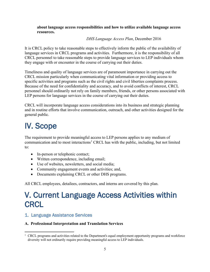### **about language access responsibilities and how to utilize available language access resources.**

### *DHS Language Access Plan*, December 2016

It is CRCL policy to take reasonable steps to effectively inform the public of the availability of language services in CRCL programs and activities. Furthermore, it is the responsibility of all CRCL personnel to take reasonable steps to provide language services to LEP individuals whom they engage with or encounter in the course of carrying out their duties.

Timeliness and quality of language services are of paramount importance in carrying out the CRCL mission particularly when communicating vital information or providing access to specific activities and programs such as the civil rights and civil liberties complaints process. Because of the need for confidentiality and accuracy, and to avoid conflicts of interest, CRCL personnel should ordinarily not rely on family members, friends, or other persons associated with LEP persons for language services in the course of carrying out their duties.

CRCL will incorporate language access considerations into its business and strategic planning and in routine efforts that involve communication, outreach, and other activities designed for the general public.

## <span id="page-4-0"></span>IV. Scope

The requirement to provide meaningful access to LEP persons applies to any medium of communication and to most interactions<sup>[1](#page-4-2)</sup> CRCL has with the public, including, but not limited to:

- In-person or telephonic contact;
- Written correspondence, including email;
- Use of websites, newsletters, and social media;
- Community engagement events and activities; and,
- Documents explaining CRCL or other DHS programs.

<span id="page-4-1"></span>All CRCL employees, detailees, contractors, and interns are covered by this plan.

## V. Current Language Access Activities within **CRCL**

### 1. Language Assistance Services

### **A. Professional Interpretation and Translation Services**

<span id="page-4-2"></span><sup>&</sup>lt;sup>1</sup> CRCL programs and activities related to the Department's equal employment opportunity programs and workforce diversity will not ordinarily require providing meaningful access to LEP individuals.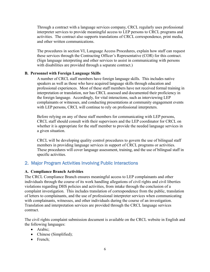Through a contract with a language services company, CRCL regularly uses professional interpreter services to provide meaningful access to LEP persons to CRCL programs and activities. The contract also supports translations of CRCL correspondence, print media, and other written communications.

The procedures in section VI, Language Access Procedures, explain how staff can request these services through the Contracting Officer's Representative (COR) for this contract. (Sign language interpreting and other services to assist in communicating with persons with disabilities are provided through a separate contract.)

### **B. Personnel with Foreign Language Skills**

A number of CRCL staff members have foreign language skills. This includes native speakers as well as those who have acquired language skills through education and professional experiences. Most of these staff members have not received formal training in interpretation or translation, nor has CRCL assessed and documented their proficiency in the foreign language. Accordingly, for vital interactions, such as interviewing LEP complainants or witnesses, and conducting presentations at community engagement events with LEP persons, CRCL will continue to rely on professional interpreters.

Before relying on any of these staff members for communicating with LEP persons, CRCL staff should consult with their supervisors and the LEP coordinator for CRCL on whether it is appropriate for the staff member to provide the needed language services in a given situation.

CRCL will be developing quality control procedures to govern the use of bilingual staff members in providing language services in support of CRCL programs or activities. These procedures will cover language assessment, training, and the use of bilingual staff in specific activities.

### 2. Major Program Activities Involving Public Interactions

### **A. Compliance Branch Activities**

The CRCL Compliance Branch ensures meaningful access to LEP complainants and other individuals through the course of its work handling allegations of civil rights and civil liberties violations regarding DHS policies and activities, from intake through the conclusion of a complaint investigation. This includes translation of correspondence from the public, translation of letters to complainants, and the use of professional interpreter services when communicating with complainants, witnesses, and other individuals during the course of an investigation. Translation and interpretation services are provided through the CRCL language services contract.

The civil rights complaint submission document is available on the CRCL website in English and the following languages:

- Arabic;
- Chinese (Simplified);
- French;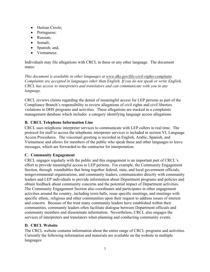- Haitian Creole;
- Portuguese;
- Russian;
- Somali;
- Spanish; and,
- Vietnamese.

Individuals may file allegations with CRCL in these or any other language. The document states:

*This document is available in other languages at [www.dhs.gov/file-civil-rights-complaint.](http://www.dhs.gov/file-civil-rights-complaint) Complaints are accepted in languages other than English. If you do not speak or write English, CRCL has access to interpreters and translators and can communicate with you in any language.* 

CRCL reviews claims regarding the denial of meaningful access for LEP persons as part of the Compliance Branch's responsibility to review allegations of civil rights and civil liberties violations in DHS programs and activities. These allegations are tracked in a complaints management database which includes a category identifying language access allegations.

### **B. CRCL Telephone Information Line**

CRCL uses telephonic interpreter services to communicate with LEP callers in real time. The protocol for staff to access the telephonic interpreter services is included in section VI, Language Access Procedures. The voicemail greeting is recorded in English, Arabic, Spanish, and Vietnamese and allows for members of the public who speak these and other languages to leave messages, which are forwarded to the contractor for interpretation.

### **C. Community Engagement**

CRCL engages regularly with the public and this engagement is an important part of CRCL's effort to provide meaningful access to LEP persons. For example, the Community Engagement Section, through roundtables that bring together federal, state, and local government officials, nongovernmental organizations, and community leaders, communicates directly with community leaders and LEP individuals to provide information about Department programs and policies and obtain feedback about community concerns and the potential impact of Department activities. The Community Engagement Section also coordinates and participates in other engagement activities around the country, including town halls, issue specific meetings, and meetings with specific ethnic, religious and other communities upon their request to address issues of interest and concern. Because of the trust many community leaders have established within their communities, community leaders often facilitate dialogue between Department officials and community members and disseminate information. Nevertheless, CRCL also engages the services of interpreters and translators when planning and conducting community events.

### **D. CRCL Website**

The CRCL website contains information about the entire range of CRCL programs and activities. Currently the following information and materials are available on the website in multiple languages: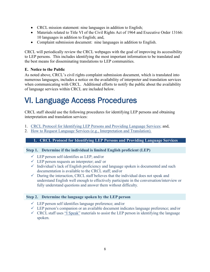- CRCL mission statement: nine languages in addition to English;
- Materials related to Title VI of the Civil Rights Act of 1964 and Executive Order 13166: 10 languages in addition to English; and,
- Complaint submission document: nine languages in addition to English.

CRCL will periodically review the CRCL webpages with the goal of improving its accessibility to LEP persons. This includes identifying the most important information to be translated and the best means for disseminating translations to LEP communities.

### **E. Notice to the Public**

As noted above, CRCL's civil rights complaint submission document, which is translated into numerous languages, includes a notice on the availability of interpreter and translation services when communicating with CRCL. Additional efforts to notify the public about the availability of language services within CRCL are included below.

## <span id="page-7-0"></span>VI. Language Access Procedures

CRCL staff should use the following procedures for identifying LEP persons and obtaining interpretation and translation services:

- 1. CRCL Protocol for Identifying LEP Persons and Providing Language Services; and,
- 2. How to Request Language Services (e.g., Interpretation and Translation).

### **1. CRCL Protocol for Identifying LEP Persons and Providing Language Services**

### **Step 1. Determine if the individual is limited English proficient (LEP)**

- $\checkmark$  LEP person self-identifies as LEP; and/or
- $\checkmark$  LEP person requests an interpreter; and/ or
- $\checkmark$  Individual's lack of English proficiency and language spoken is documented and such documentation is available to the CRCL staff; and/or
- $\checkmark$  During the interaction, CRCL staff believes that the individual does not speak and understand English well enough to effectively participate in the conversation/interview or fully understand questions and answer them without difficulty.

### **Step 2. Determine the language spoken by the LEP person**

- $\checkmark$  LEP person self identifies language preference; and/or
- $\checkmark$  LEP person's companion or an available document indicates language preference; and/or
- $\checkmark$  CRCL staff uses "I Speak" materials to assist the LEP person in identifying the language spoken.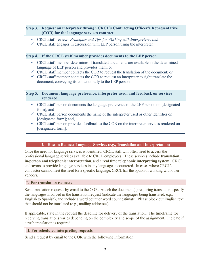### **Step 3. Request an interpreter through CRCL's Contracting Officer's Representative (COR) for the language services contract**

- CRCL staff reviews *Principles and Tips for Working with Interpreters*; and
- $\checkmark$  CRCL staff engages in discussion with LEP person using the interpreter.

### **Step 4. If the CRCL staff member provides documents to the LEP person**

- $\checkmark$  CRCL staff member determines if translated documents are available in the determined language of LEP person and provides them; or
- $\checkmark$  CRCL staff member contacts the COR to request the translation of the document; or
- $\checkmark$  CRCL staff member contacts the COR to request an interpreter to sight translate the document, conveying its content orally to the LEP person.

### **Step 5. Document language preference, interpreter used, and feedback on services rendered**

- $\checkmark$  CRCL staff person documents the language preference of the LEP person on [designated] form]; and
- $\checkmark$  CRCL staff person documents the name of the interpreter used or other identifier on [designated form]; and,
- $\checkmark$  CRCL staff person provides feedback to the COR on the interpreter services rendered on [designated form].

### **2. How to Request Language Services (e.g., Translation and Interpretation)**

Once the need for language services is identified, CRCL staff will often need to access the professional language services available to CRCL employees. These services include **translation**, **in-person and telephonic interpretation**, and a **real time telephonic interpreting system**. CRCL endeavors to provide language services in any language encountered. In cases where CRCL's contractor cannot meet the need for a specific language, CRCL has the option of working with other vendors.

### **I. For translation requests**

Send translation requests by email to the COR. Attach the document(s) requiring translation, specify the languages involved in the translation request (indicate the languages being translated, e.g., English to Spanish), and include a word count or word count estimate. Please block out English text that should not be translated (e.g., mailing addresses).

If applicable, state in the request the deadline for delivery of the translation. The timeframe for receiving translations varies depending on the complexity and scope of the assignment. Indicate if a rush translation is required.

### **II. For scheduled interpreting requests**

Send a request by email to the COR with the following information: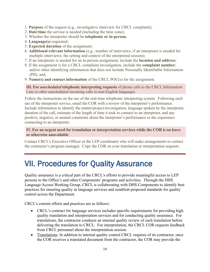- 1. **Purpose** of the request (e.g., investigative interview for CRCL complaint);
- 2. **Date/time** the service is needed (including the time zone);
- 3. Whether the interpreter should be **telephonic or in-person**;
- 4. **Language(s)** requested;
- 5. **Expected duration** of the assignment;
- 6. **Additional relevant information** (e.g., number of interviews, if an interpreter is needed for multiple interviews; the setting and context of the interpreted session);
- 7. If an interpreter is needed for an in-person assignment, include the **location and address**;
- 8. If the assignment is for a CRCL complaint investigation, include the **complaint number**; and/or other identifying information that does not include Personally Identifiable Information (PII); and,
- 9. **Name(s) and contact information** of the CRCL POC(s) for the assignment.

**III. For** *unscheduled* **telephonic interpreting requests** of phone calls to the CRCL Information Line or other unscheduled incoming calls in non-English languages

Follow the instructions on the use of the real-time telephonic interpreting system. Following each use of the interpreter service, email the COR with a review of the interpreter's performance. Include information to identify the matter/project/investigation, language spoken by the interpreter, duration of the call, estimate of the length of time it took to connect to an interpreter, and any positive, negative, or neutral comments about the interpreter's performance or the experience connecting to an interpreter.

**IV. For an urgent need for translation or interpretation services while the COR is on leave or otherwise unavailable**

Contact CRCL's Executive Officer or the LEP coordinator who will make arrangements to contact the contractor's program manager. Copy the COR on your translation or interpretation requests.

## <span id="page-9-0"></span>VII. Procedures for Quality Assurance

Quality assurance is a critical part of the CRCL's efforts to provide meaningful access to LEP persons to the Office's and other Components' programs and activities. Through the DHS Language Access Working Group, CRCL is collaborating with DHS Components to identify best practices for ensuring quality in language services and establish proposed standards for quality control across the Department.

CRCL's current efforts and practices are as follows:

- CRCL's contract for language services includes specific requirements for providing high quality translation and interpretation services and for conducting quality assurance. For translations, the contractor conducts an internal quality review of each translation before delivering the translation to CRCL. For interpretation, the CRCL COR requests feedback from CRCL personnel about the interpretation session.
- Translations: In addition to internal quality control CRCL requires of its contractor, once the COR receives a translated document from the contractor, the COR may provide the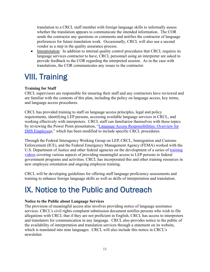translation to a CRCL staff member with foreign language skills to informally assess whether the translation appears to communicate the intended information. The COR sends the contractor any questions or comments and notifies the contractor of language preferences for future translation work. Occasionally, CRCL will also use a second vendor as a step in the quality assurance process.

• Interpretation: In addition to internal quality control procedures that CRCL requires its language services contractor to have, CRCL personnel using an interpreter are asked to provide feedback to the COR regarding the interpreted session. As in the case with translations, the COR communicates any issues to the contractor.

### <span id="page-10-0"></span>VIII. Training

### **Training for Staff**

CRCL supervisors are responsible for ensuring their staff and any contractors have reviewed and are familiar with the contents of this plan, including the policy on language access, key terms, and language access procedures.

CRCL has provided training to staff on language access principles, legal and policy requirements, identifying LEP persons, accessing available language services in CRCL, and working effectively with interpreters. CRCL staff can familiarize themselves with these topics by reviewing the Power Point presentation, ["Language Access Responsibilities:](http://www.dhs.gov/xlibrary/assets/crcl/crcl-dhs-lep-plan-03302012.ppt) Overview for [DHS Employees," which has been modified to include specific CRCL procedures.](http://www.dhs.gov/xlibrary/assets/crcl/crcl-dhs-lep-plan-03302012.ppt) 

Through the Federal Interagency Working Group on LEP, CRCL, Immigration and Customs Enforcement (ICE), and the Federal Emergency Management Agency (FEMA) worked with the U.S. Department of Justice and other federal agencies on the development of a series of [training](https://www.lep.gov/video/communicating-effectively-limited-english-proficient-individuals)  [videos](https://www.lep.gov/video/communicating-effectively-limited-english-proficient-individuals) covering various aspects of providing meaningful access to LEP persons to federal government programs and activities. CRCL has incorporated this and other training resources in new employee orientation and ongoing employee training.

CRCL will be developing guidelines for offering staff language proficiency assessments and training to enhance foreign language skills as well as skills of interpretation and translation.

### <span id="page-10-1"></span>IX. Notice to the Public and Outreach

### **Notice to the Public about Language Services**

The provision of meaningful access also involves providing notice of language assistance services. CRCL's civil rights complaint submission document notifies persons who wish to file allegations with CRCL that if they are not proficient in English, CRCL has access to interpreters and translators for communication in any language. CRCL also provides notice to the public of the availability of interpretation and translation services through a statement on its website, which is translated into nine languages. CRCL will also include this notice in CRCL's newsletter.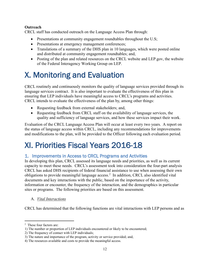### **Outreach**

CRCL staff has conducted outreach on the Language Access Plan through:

- Presentations at community engagement roundtables throughout the U.S;
- Presentations at emergency management conferences;
- Translations of a summary of the DHS plan in 10 languages, which were posted online and distributed at community engagement roundtables; and,
- Posting of the plan and related resources on the CRCL website and LEP .gov, the website of the Federal Interagency Working Group on LEP.

## <span id="page-11-0"></span>X. Monitoring and Evaluation

CRCL routinely and continuously monitors the quality of language services provided through its language services contract. It is also important to evaluate the effectiveness of this plan in ensuring that LEP individuals have meaningful access to CRCL's programs and activities. CRCL intends to evaluate the effectiveness of the plan by, among other things:

- Requesting feedback from external stakeholders; and,
- Requesting feedback from CRCL staff on the availability of language services, the quality and sufficiency of language services, and how these services impact their work.

Evaluation of the CRCL Language Access Plan will occur at least every two years. A report on the status of language access within CRCL, including any recommendations for improvements and modifications to the plan, will be provided to the Officer following each evaluation period.

## <span id="page-11-1"></span>XI. Priorities Fiscal Years 2016-18

### 1. Improvements in Access to CRCL Programs and Activities

In developing this plan, CRCL assessed its language needs and priorities, as well as its current capacity to meet these needs. CRCL's assessment took into consideration the four-part analysis CRCL has asked DHS recipients of federal financial assistance to use when assessing their own obligations to provide meaningful language access.<sup>[2](#page-11-2)</sup> In addition, CRCL also identified vital documents and key interactions with the public, based on the importance of the activity, information or encounter, the frequency of the interaction, and the demographics in particular sites or programs. The following priorities are based on this assessment.

A. *Vital Interactions*

CRCL has determined that the following functions are vital interactions with LEP persons and as

<span id="page-11-2"></span><sup>2</sup> These four factors are:

<sup>1)</sup> The number or proportion of LEP individuals encountered or likely to be encountered;

<sup>2)</sup> The frequency of contact with LEP individuals;

<sup>3)</sup> The nature and importance of the program, activity or service provided; and,

<sup>4)</sup> The resources available and costs to provide the meaningful access.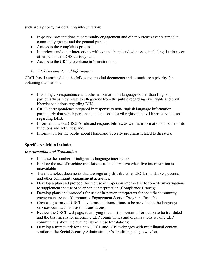such are a priority for obtaining interpretation:

- In-person presentations at community engagement and other outreach events aimed at community groups and the general public;
- Access to the complaints process;
- Interviews and other interactions with complainants and witnesses, including detainees or other persons in DHS custody; and,
- Access to the CRCL telephone information line.

### *B. Vital Documents and Information*

CRCL has determined that the following are vital documents and as such are a priority for obtaining translations:

- Incoming correspondence and other information in languages other than English, particularly as they relate to allegations from the public regarding civil rights and civil liberties violations regarding DHS;
- CRCL correspondence prepared in response to non-English language information, particularly that which pertains to allegations of civil rights and civil liberties violations regarding DHS;
- Information about CRCL's role and responsibilities, as well as information on some of its functions and activities; and,
- Information for the public about Homeland Security programs related to disasters.

### **Specific Activities Include:**

### *Interpretation and Translation*

- Increase the number of indigenous language interpreters
- Explore the use of machine translations as an alternative when live interpretation is unavailable
- Translate select documents that are regularly distributed at CRCL roundtables, events, and other community engagement activities;
- Develop a plan and protocol for the use of in-person interpreters for on-site investigations to supplement the use of telephonic interpretation (Compliance Branch);
- Develop plans and protocols for use of in-person interpreters for specific community engagement events (Community Engagement Section/Programs Branch);
- Create a glossary of CRCL key terms and translations to be provided to the language services contractor for use in translations;
- Review the CRCL webpage, identifying the most important information to be translated and the best means for informing LEP communities and organizations serving LEP communities about the availability of these translations;
- Develop a framework for a new CRCL and DHS webpages with multilingual content similar to the Social Security Administration's "multilingual gateway" at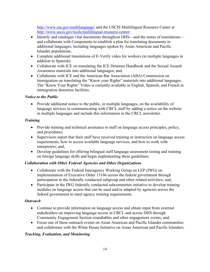<http://www.ssa.gov/multilanguage/> and the USCIS Multilingual Resource Center at [http://www.uscis.gov/tools/multilingual-resource-center;](http://www.uscis.gov/tools/multilingual-resource-center)

- Identify and catalogue vital documents throughout DHS—and the status of translations and collaborate with Components to establish a plan for translating documents in additional languages, including languages spoken by Asian American and Pacific Islander populations;
- Complete additional translations of E-Verify video for workers (in multiple languages in addition to Spanish);
- Collaborate with ICE on translating the ICE Detainee Handbook and the Sexual Assault Awareness materials into additional languages; and,
- Collaborate with ICE and the American Bar Association (ABA) Commission on Immigration on translating the "Know your Rights" materials into additional languages. The "Know Your Rights" Video is currently available in English, Spanish, and French in immigration detention facilities.

### *Notice to the Public*

• Provide additional notice to the public, in multiple languages, on the availability of language services in communicating with CRCL staff by adding a notice on the website in multiple languages and include this information in the CRCL newsletter.

### *Training*

- Provide training and technical assistance to staff on language access principles, policy, and procedures;
- Supervisors report that their staff have received training or instruction on language access requirements, how to access available language services, and how to work with interpreters; and,
- Develop guidelines for offering bilingual staff language assessment testing and training on foreign language skills and begin implementing these guidelines;

### *Collaboration with Other Federal Agencies and Other Organizations*

- Collaborate with the Federal Interagency Working Group on LEP (IWG) on implementation of Executive Order 13166 across the federal government through participation in the federally conducted subgroup and other related activities; and,
- Participate in the IWG federally conducted subcommittee initiative to develop training modules on language access that can be used and/or adapted by agencies across the federal government to meet agency training requirements.

### *Outreach*

- Continue to provide information on language access and obtain input from external stakeholders on improving language access in CRCL and across DHS through Community Engagement Section roundtables and other engagement events; and,
- Focus one of these outreach events on Asian American and Pacific Islander communities and collaborate with the White House Initiative on Asian American and Pacific Islanders.

### *Tracking, Evaluation, and Monitoring*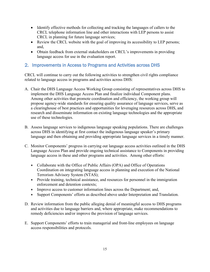- Identify effective methods for collecting and tracking the languages of callers to the CRCL telephone information line and other interactions with LEP persons to assist CRCL in planning for future language services;
- Review the CRCL website with the goal of improving its accessibility to LEP persons; and,
- Obtain feedback from external stakeholders on CRCL's improvements in providing language access for use in the evaluation report.

### 2. Improvements in Access to Programs and Activities across DHS

CRCL will continue to carry out the following activities to strengthen civil rights compliance related to language access in programs and activities across DHS:

- A. Chair the DHS Language Access Working Group consisting of representatives across DHS to implement the DHS Language Access Plan and finalize individual Component plans. Among other activities that promote coordination and efficiency, the working group will propose agency-wide standards for ensuring quality assurance of language services, serve as a clearinghouse of best practices and opportunities for leveraging resources across DHS, and research and disseminate information on existing language technologies and the appropriate use of these technologies.
- B. Assess language services to indigenous language speaking populations. There are challenges across DHS in identifying at first contact the indigenous language speaker's primary language and then obtaining and providing appropriate language services in a timely manner.
- C. Monitor Components' progress in carrying out language access activities outlined in the DHS Language Access Plan and provide ongoing technical assistance to Components in providing language access in these and other programs and activities. Among other efforts:
	- Collaborate with the Office of Public Affairs (OPA) and Office of Operations Coordination on integrating language access in planning and execution of the National Terrorism Advisory System (NTAS);
	- Provide training, technical assistance, and resources for personnel in the immigration enforcement and detention contexts;
	- Improve access to customer information lines across the Department; and,
	- Support Components' efforts as described above under Interpretation and Translation.
- D. Review information from the public alleging denial of meaningful access to DHS programs and activities due to language barriers and, where appropriate, make recommendations to remedy deficiencies and/or improve the provision of language services.
- E. Support Components' efforts to train managerial and front-line employees on language access responsibilities and protocols.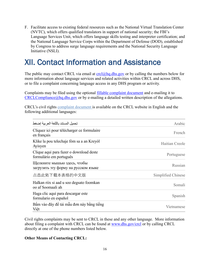F. Facilitate access to existing federal resources such as the National Virtual Translation Center (NVTC), which offers qualified translators in support of national security; the FBI's Language Services Unit, which offers language skills testing and interpreter certification; and the National Language Service Corps within the Department of Defense (DOD), established by Congress to address surge language requirements and the National Security Language Initiative (NSLI).

### <span id="page-15-0"></span>XII. Contact Information and Assistance

The public may contact CRCL via email at  $\text{crel}(\partial_{\Omega}h\mathbf{q}.d\mathbf{hs}.\mathbf{g}\mathbf{o}\mathbf{v})$  or by calling the numbers below for more information about language services and related activities within CRCL and across DHS, or to file a complaint concerning language access in any DHS program or activity.

Complaints may be filed using the optional [fillable complaint document](https://www.dhs.gov/publication/file-civil-rights-complaint) and e-mailing it to  $CRCLCompliance(Q)$ hq.dhs.gov or by e-mailing a detailed written description of the allegations.

CRCL's civil rights complaint document is available on the CRCL website in English and the following additional languages:

| تحميل المستند بالللغة العر بية إضغط                                 | Arabic             |
|---------------------------------------------------------------------|--------------------|
| Cliquez ici pour télécharger ce formulaire<br>en français           | French             |
| Klike la pou telechaje fòm sa a an Kreyòl<br>Ayisyen                | Haitian Creole     |
| Clique aqui para fazer o download deste<br>formulário em português  | Portuguese         |
| Щелкните мышью здесь, чтобы<br>загрузить эту форму на русском языке | Russian            |
| 点击此处下载本表格的中文版                                                       | Simplified Chinese |
| Halkan riix si aad u soo degsato foomkan<br>oo af Soomaali ah       | Somali             |
| Haga clic aquí para descargar este<br>formulario en español         | Spanish            |
| Bấm vào đây để tải mẫu đơn này bằng tiếng<br>Viêt                   | Vietnamese         |

Civil rights complaints may be sent to CRCL in these and any other language. More information about filing a complaint with CRCL can be found at [www.dhs.gov/crcl](http://www.dhs.gov/crcl) or by calling CRCL directly at one of the phone numbers listed below.

### **Other Means of Contacting CRCL:**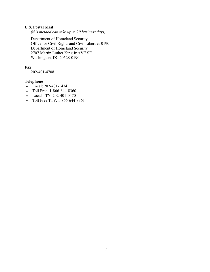### **U.S. Postal Mail**

*(this method can take up to 20 business days)* 

Department of Homeland Security Office for Civil Rights and Civil Liberties 0190 Department of Homeland Security 2707 Martin Luther King Jr AVE SE Washington, DC 20528-0190

### **Fax**

202-401-4708

### **Telephone**

- $\bullet$  Local: 202-401-1474
- Toll Free: 1-866-644-8360
- Local TTY: 202-401-0470
- Toll Free TTY: 1-866-644-8361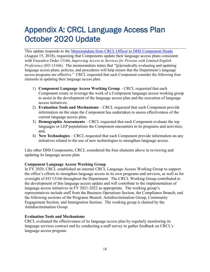## <span id="page-17-0"></span>Appendix A: CRCL Language Access Plan October 2020 Update

This update responds to the [Memorandum from CRCL Officer to DHS Component Heads](https://www.dhs.gov/sites/default/files/publications/officer-memo-component-heads-updating-lep-plans-2018.pdf) (August 15, 2018), requesting that Components update their language access plans consistent with Executive Order 13166, *Improving Access to Services for Persons with Limited English Proficiency* (EO 13166). The memorandum states that "[p]eriodically evaluating and updating language access plans, policies, and procedures will help ensure that the Department's language access programs are effective." CRCL requested that each Component consider the following four elements in updating their language access plan:

- 1) **Component Language Access Working Group** CRCL requested that each Component create or leverage the work of a Component language access working group to assist in the development of the language access plan and the execution of language access initiatives;
- 2) **Evaluation Tools and Mechanisms** CRCL requested that each Component provide information on the steps the Component has undertaken to assess effectiveness of the current language access plan;
- 3) **Demographic Assessments** CRCL requested that each Component evaluate the top languages or LEP populations the Component encounters in its programs and activities; and,
- 4) **New Technologies** CRCL requested that each Component provide information on any initiatives related to the use of new technologies to strengthen language access.

Like other DHS Components, CRCL considered the four elements above in reviewing and updating its language access plan.

### **Component Language Access Working Group**

In FY 2020, CRCL established an internal CRCL Language Access Working Group to support the office's efforts to strengthen language access in its own programs and services, as well as for oversight of EO 13166 throughout the Department. The CRCL Working Group contributed to the development of this language access update and will contribute to the implementation of language access initiatives in FY 2021-2022 as appropriate. The working group's representatives include staff from the Business Operations Section, the Compliance Branch; and the following sections of the Programs Branch: Antidiscrimination Group, Community Engagement Section, and Immigration Section. The working group is chaired by the Antidiscrimination Group.

### **Evaluation Tools and Mechanisms**

CRCL evaluated the effectiveness of its language access plan by regularly monitoring its language services contract and by conducting a staff survey to gather feedback on CRCL's language access program.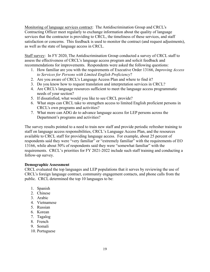Monitoring of language services contract: The Antidiscrimination Group and CRCL's Contracting Officer meet regularly to exchange information about the quality of language services that the contractor is providing to CRCL, the timeliness of these services, and staff satisfaction or concerns. This feedback is used to monitor the contract (and request adjustments), as well as the state of language access in CRCL.

Staff survey: In FY 2020, The Antidiscrimination Group conducted a survey of CRCL staff to assess the effectiveness of CRCL's language access program and solicit feedback and recommendations for improvements. Respondents were asked the following questions:

- 1. How familiar are you with the requirements of Executive Order 13166, *Improving Access to Services for Persons with Limited English Proficiency*?
- 2. Are you aware of CRCL's Language Access Plan and where to find it?
- 3. Do you know how to request translation and interpretation services in CRCL?
- 4. Are CRCL's language resources sufficient to meet the language access programmatic needs of your section?
- 5. If dissatisfied, what would you like to see CRCL provide?
- 6. What steps can CRCL take to strengthen access to limited English proficient persons in CRCL's own programs and activities?
- 7. What more can ADG do to advance language access for LEP persons across the Department's programs and activities?

The survey results pointed to a need to train new staff and provide periodic refresher training to staff on language access responsibilities, CRCL's Language Access Plan, and the resources available to CRCL staff for providing language access. For example, about 25 percent of respondents said they were "very familiar" or "extremely familiar" with the requirements of EO 13166, while about 50% of respondents said they were "somewhat familiar" with the requirements. CRCL's priorities for FY 2021-2022 include such staff training and conducting a follow-up survey.

### **Demographic Assessment**

CRCL evaluated the top languages and LEP populations that it serves by reviewing the use of CRCL's foreign language contract, community engagement contacts, and phone calls from the public. CRCL determined the top 10 languages to be:

- 1. Spanish
- 2. Chinese
- 3. Arabic
- 4. Vietnamese
- 5. Russian
- 6. Korean
- 7. Tagalog
- 8. French
- 9. Somali
- 10. Portuguese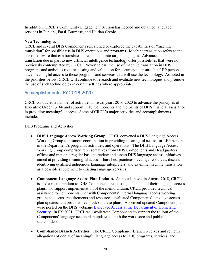In addition, CRCL's Community Engagement Section has needed and obtained language services in Punjabi, Farsi, Burmese, and Haitian Creole.

#### **New Technologies**

CRCL and several DHS Components researched or explored the capabilities of "machine translation" for possible use in DHS operations and programs. Machine translation refers to the use of software that can translate source content into target languages. Advances in machine translation due in part to new artificial intelligence technology offer possibilities that were not previously contemplated by CRCL. Nevertheless, the use of machine translation in DHS programs and activities requires testing and validation for accuracy to ensure that LEP persons have meaningful access to those programs and services that will use the technology. As noted in the priorities below, CRCL will continue to research and evaluate new technologies and promote the use of such technologies in certain settings where appropriate.

### Accomplishments: FY 2016-2020

CRCL conducted a number of activities in fiscal years 2016-2020 to advance the principles of Executive Order 13166 and support DHS Components and recipients of DHS financial assistance in providing meaningful access. Some of CRCL's major activities and accomplishments include:

#### DHS Programs and Activities

- **DHS Language Access Working Group.** CRCL convened a DHS Language Access Working Group to promote coordination in providing meaningful access for LEP persons in the Department's programs, activities, and operations. The DHS Language Access Working Group comprised representatives from DHS Components and Headquarters offices and met on a regular basis to review and assess DHS language access initiatives aimed at providing meaningful access, share best practices, leverage resources, discuss identifying qualified indigenous language interpreters, and examine machine translation as a possible supplement to existing language services.
- **Component Language Access Plan Updates.** As noted above, in August 2018, CRCL issued a memorandum to DHS Components requesting an update of their language access plans. To support implementation of the memorandum, CRCL provided technical assistance to Components, met with Components' internal language access working groups to discuss requirements and resources, evaluated Components' language access plan updates, and provided feedback on these plans. Approved updated Component plans were posted on the DHS webpage [Language Access at the Department of Homeland](https://www.dhs.gov/language-access)  [Security.](https://www.dhs.gov/language-access) In FY 2021, CRCL will work with Components to support the rollout of the Components' language access plan updates to both the workforce and public stakeholders.
- **Compliance Branch Activities.** The CRCL Compliance Branch receives and reviews allegations of denial of meaningful language access to DHS programs, services, and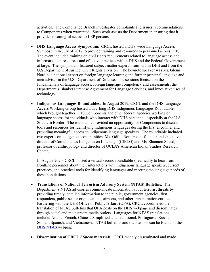activities. The Compliance Branch investigates complaints and issues recommendations to Components when warranted. Such work assists the Department in ensuring that it provides meaningful access to LEP persons.

- **DHS Language Access Symposium.** CRCL hosted a DHS-wide Language Access Symposium in July of 2017 to provide training and resources to personnel across DHS. The event included training on civil rights requirements related to language access and information on resources and effective practices within DHS and the Federal Government at large. The symposium featured subject matter experts from within DHS and from the U.S Department of Justice, Civil Rights Division. The keynote speaker was Mr. Glenn Nordin, a national expert on foreign language learning and former principal language and area adviser in the U.S. Department of Defense. The sessions focused on the fundamentals of language access, foreign language competency and assessments, the Department's Blanket Purchase Agreement for Language Services, and innovative uses of technology.
- **Indigenous Languages Roundtables.** In August 2019, CRCL and the DHS Language Access Working Group hosted a day-long DHS Indigenous Languages Roundtable, which brought together DHS Components and other federal agencies working on language access for individuals who interact with DHS personnel, especially at the U.S. Southern Border. The roundtable provided an opportunity for Components to discuss tools and resources for identifying indigenous languages during the first encounter and providing meaningful access to indigenous language speakers. The roundtable included two experts on indigenous communities: Ms. Odilia Romero, co-founder and executive director of Comunidades Indígenas en Liderazgo (CIELO) and Ms. Shannon Speed, professor of anthropology and director of UCLA's American Indian Studies Research Center.

In August 2020, CRCL hosted a virtual second roundtable specifically to hear from frontline personnel about their interactions with indigenous language speakers, current practices, and practical tools for identifying languages and meeting the language needs of these populations.

- **Translations of National Terrorism Advisory System (NTAS) Bulletins.** The Department's [NTAS](https://www.dhs.gov/topic/ntas) advisories communicate information about terrorist threats by providing timely, detailed information to the public, government agencies, first responders, public sector organizations, airports, and other transportation entities. Partnering with the DHS Office of Public Affairs (OPA), CRCL coordinated the translation of [NTAS bulletins](https://www.dhs.gov/publication/national-terrorism-advisory-system-bulletin-january-4-2020-translations) that OPA posts on the DHS webpage and disseminates through social and mainstream media outlets. Languages for NTAS translations include: Arabic, French, Chinese Simplified and Traditional, Portuguese, Russian, Somali, Spanish, and Vietnamese. NTAS bulletins and translations can be found on the [DHS NTAS](https://www.dhs.gov/national-terrorism-advisory-system) webpage.
- **Dissemination of CRCL** *I Speak* **materials.** CRCL widely disseminated and made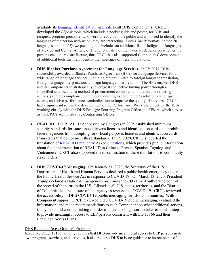available its *language identification materials* to all DHS Components. CRCL developed the *I Speak* tools, which include a pocket guide and poster, for DHS and recipient program personnel who work directly with the public and who need to identify the language of the person with whom they are interacting. Both *I Speak* formats include 70 languages, and the *I Speak* pocket guide includes an additional list of indigenous languages of Mexico and Central America. The functionality of the materials depends on whether the persons encountered are literate, thus CRCL has also supported Components' development of additional tools that help identify the languages of these populations.

- **DHS Blanket Purchase Agreement for Language Services.** In FY 2017, DHS successfully awarded a Blanket Purchase Agreement (BPA) for Language Services for a wide range of language services, including but not limited to foreign language translation, foreign language interpretation, and sign language interpretation. The BPA enables DHS and its Components to strategically leverage its collective buying power through a simplified and lower cost method of procurement compared to individual contracting actions, promote compliance with federal civil rights requirements related to language access, and drive performance standardization to improve the quality of services. CRCL had a significant role in the development of the Performance Work Statement for the BPA working closely with the DHS Strategic Sourcing Program Office and FEMA, which serves as the BPA's Administrative Contracting Officer.
- **REAL ID.** The REAL ID Act passed by Congress in 2005 established minimum security standards for state-issued driver's licenses and identification cards and prohibits federal agencies from accepting for official purposes licenses and identification cards from states that do not meet these standards. In FY 2020, CRCL supported the translation of [REAL ID Frequently Asked Questions,](https://www.dhs.gov/real-id-frequently-asked-questions) which provides public information about the implementation of REAL ID in Chinese, French, Spanish, Tagalog, and Vietnamese. CRCL also supported the dissemination of these translations to community stakeholders.
- **DHS COVID-19 Messaging.** On January 31, 2020, the Secretary of the U.S. Department of Health and Human Services declared a public health emergency under the Public Health Service Act in response to COVID-19. On March 13, 2020, President Trump declared a National Emergency concerning the COVID-19 outbreak to control the spread of the virus in the U.S. Likewise, all U.S. states, territories, and the District of Columbia declared a state of emergency in response to COVID-19. CRCL reviewed the accessibility of DHS COVID-19 public messaging for LEP communities. With Component support, CRCL reviewed DHS COVID-19 public messaging, evaluated the information, and made recommendations to each Component on what additional actions, if any, it should consider taking in order to meet its obligations to take reasonable steps to provide meaningful access to LEP persons consistent with EO 13166 and their Language Access Plans.

#### DHS Recipient (e.g., Grantee) Programs

Executive Order 13166 not only requires that DHS provide meaningful access to LEP persons in its own programs, services, and activities, it also requires DHS to issue guidance to its recipients of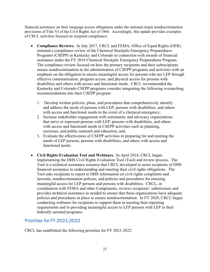financial assistance on their language access obligations under the national origin nondiscrimination provisions of Title VI of the Civil Rights Act of 1964. Accordingly, this update provides examples of CRCL activities focused on recipient compliance:

- **Compliance Reviews.** In July 2017, CRCL and FEMA, Office of Equal Rights (OER) initiated a compliance review of the Chemical Stockpile Emergency Preparedness Programs (CSEPP) in Kentucky and Colorado in connection with awards of financial assistance under the FY 2016 Chemical Stockpile Emergency Preparedness Program. The compliance review focused on how the primary recipients and their subrecipients ensure nondiscrimination in the administration of CSEPP programs and activities with an emphasis on the obligation to ensure meaningful access for persons who are LEP through effective communication, program access, and physical access for persons with disabilities and others with access and functional needs. CRCL recommended the Kentucky and Colorado CSEPP programs consider integrating the following overarching recommendations into their CSEPP program:
	- 1. Develop written policies, plans, and procedures that comprehensively identify and address the needs of persons with LEP, persons with disabilities, and others with access and functional needs in the event of a chemical emergency;
	- 2. Increase stakeholder engagement with community and advocacy organizations that serve or represent persons with LEP, persons with disabilities, and others with access and functional needs in CSEPP activities such as planning, exercises, and public outreach and education; and,
	- 3. Evaluate the effectiveness of CSEPP activities in preparing for and meeting the needs of LEP persons, persons with disabilities, and others with access and functional needs.
- **Civil Rights Evaluation Tool and Webinars.** In April 2018, CRCL began implementing the DHS Civil Rights Evaluation Tool (Tool) and review process. The Tool is a technical assistance resource that CRCL developed to assist recipients of DHS financial assistance in understanding and meeting their civil rights obligations. The Tool asks recipients to report to DHS information on civil rights complaints and lawsuits, nondiscrimination policies, and policies and procedures for ensuring meaningful access for LEP persons and persons with disabilities. CRCL, in coordination with FEMA and other Components, reviews recipients' submissions and provides technical assistance as needed to ensure that these organizations have adequate policies and procedures in place to ensure nondiscrimination. In FY 2020, CRCL began conducting webinars for recipients to support them in meeting their reporting requirements and in providing meaningful access to LEP persons with LEP in their federally assisted programs.

### Priorities for FY 2021-2022

CRCL has established the following priorities for FY 2021-2022: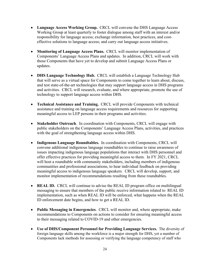- Language Access Working Group. CRCL will convene the DHS Language Access Working Group at least quarterly to foster dialogue among staff with an interest and/or responsibility for language access; exchange information, best practices, and costeffective solutions to language access; and carry out language access initiatives.
- **Monitoring of Language Access Plans.** CRCL will monitor implementation of Components' Language Access Plans and updates. In addition, CRCL will work with those Components that have yet to develop and submit Language Access Plans or updates.
- **DHS Language Technology Hub.** CRCL will establish a Language Technology Hub that will serve as a virtual space for Components to come together to learn about, discuss, and test state-of-the-art technologies that may support language access in DHS programs and activities. CRCL will research, evaluate, and where appropriate, promote the use of technology to support language access within DHS.
- **Technical Assistance and Training.** CRCL will provide Components with technical assistance and training on language access requirements and resources for supporting meaningful access to LEP persons in their programs and activities.
- **Stakeholder Outreach**. In coordination with Components, CRCL will engage with public stakeholders on the Components' Language Access Plans, activities, and practices with the goal of strengthening language access within DHS.
- **Indigenous Language Roundtables.** In coordination with Components, CRCL will convene additional indigenous language roundtables to continue to raise awareness of issues impacting indigenous language populations that interact with DHS personnel and offer effective practices for providing meaningful access to them. In FY 2021, CRCL will host a roundtable with community stakeholders, including members of indigenous communities and professional associations, to hear individual feedback on providing meaningful access to indigenous language speakers. CRCL will develop, support, and monitor implementation of recommendations resulting from these roundtables.
- **REAL ID.** CRCL will continue to advise the REAL ID program office on multilingual messaging to ensure that members of the public receive information related to REAL ID implementation, such as when REAL ID will be enforced, what happens when the REAL ID enforcement date begins, and how to get a REAL ID.
- **Public Messaging in Emergencies**. CRCL will monitor and, where appropriate, make recommendations to Components on actions to consider for ensuring meaningful access to their messaging related to COVID-19 and other emergencies.
- **Use of DHS/Component Personnel for Providing Language Services.** The diversity of foreign language skills among the workforce is a major strength for DHS, yet a number of Components lack methods for assessing or verifying the language competency of staff who